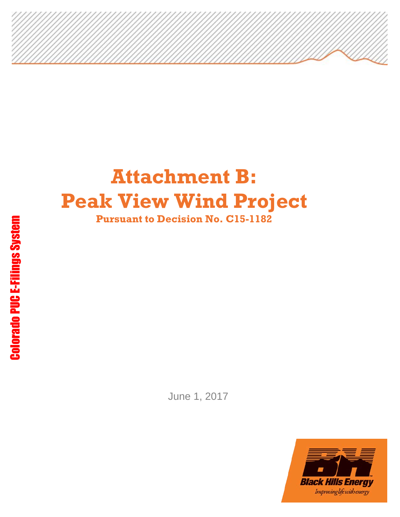# **Attachment B: Peak View Wind Project Pursuant to Decision No. C15-1182**

June 1, 2017

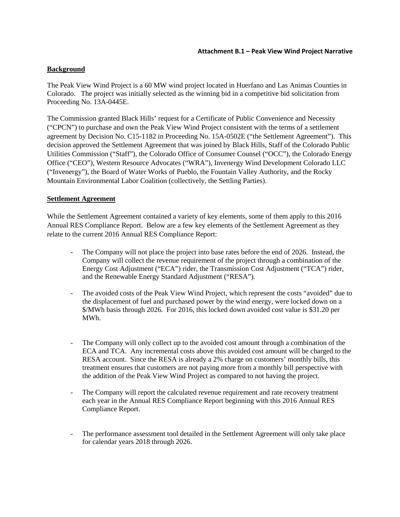#### **Background**

The Peak View Wind Project is a 60 MW wind project located in Huerfano and Las Animas Counties in Colorado. The project was initially selected as the winning bid in a competitive bid solicitation from Proceeding No. 13A-0445E.

The Commission granted Black Hills' request for a Certificate of Public Convenience and Necessity ("CPCN") to purchase and own the Peak View Wind Project consistent with the terms of a settlement agreement by Decision No. C15-1182 in Proceeding No. 15A-0502E ("the Settlement Agreement"). This decision approved the Settlement Agreement that was joined by Black Hills, Staff of the Colorado Public Utilities Commission ("Staff"), the Colorado Office of Consumer Counsel ("OCC"), the Colorado Energy Office ("CEO"), Western Resource Advocates ("WRA"), Invenergy Wind Development Colorado LLC ("Invenergy"), the Board of Water Works of Pueblo, the Fountain Valley Authority, and the Rocky Mountain Environmental Labor Coalition (collectively, the Settling Parties).

#### **Settlement Agreement**

While the Settlement Agreement contained a variety of key elements, some of them apply to this 2016 Annual RES Compliance Report. Below are a few key elements of the Settlement Agreement as they relate to the current 2016 Annual RES Compliance Report:

- The Company will not place the project into base rates before the end of 2026. Instead, the Company will collect the revenue requirement of the project through a combination of the Energy Cost Adjustment ("ECA") rider, the Transmission Cost Adjustment ("TCA") rider, and the Renewable Energy Standard Adjustment ("RESA").
- The avoided costs of the Peak View Wind Project, which represent the costs "avoided" due to the displacement of fuel and purchased power by the wind energy, were locked down on a \$/MWh basis through 2026. For 2016, this locked down avoided cost value is \$31.20 per MWh.
- The Company will only collect up to the avoided cost amount through a combination of the ECA and TCA. Any incremental costs above this avoided cost amount will be charged to the RESA account. Since the RESA is already a 2% charge on customers' monthly bills, this treatment ensures that customers are not paying more from a monthly bill perspective with the addition of the Peak View Wind Project as compared to not having the project.
- The Company will report the calculated revenue requirement and rate recovery treatment each year in the Annual RES Compliance Report beginning with this 2016 Annual RES Compliance Report.
- The performance assessment tool detailed in the Settlement Agreement will only take place for calendar years 2018 through 2026.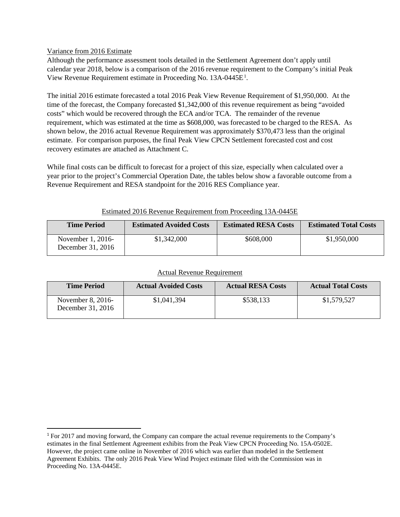#### Variance from 2016 Estimate

Although the performance assessment tools detailed in the Settlement Agreement don't apply until calendar year 2018, below is a comparison of the 2016 revenue requirement to the Company's initial Peak View Revenue Requirement estimate in Proceeding No.  $13A-0445E<sup>1</sup>$ .

The initial 2016 estimate forecasted a total 2016 Peak View Revenue Requirement of \$1,950,000. At the time of the forecast, the Company forecasted \$1,342,000 of this revenue requirement as being "avoided costs" which would be recovered through the ECA and/or TCA. The remainder of the revenue requirement, which was estimated at the time as \$608,000, was forecasted to be charged to the RESA. As shown below, the 2016 actual Revenue Requirement was approximately \$370,473 less than the original estimate. For comparison purposes, the final Peak View CPCN Settlement forecasted cost and cost recovery estimates are attached as Attachment C.

While final costs can be difficult to forecast for a project of this size, especially when calculated over a year prior to the project's Commercial Operation Date, the tables below show a favorable outcome from a Revenue Requirement and RESA standpoint for the 2016 RES Compliance year.

| <b>Time Period</b>                     | <b>Estimated Avoided Costs</b> | <b>Estimated RESA Costs</b> | <b>Estimated Total Costs</b> |
|----------------------------------------|--------------------------------|-----------------------------|------------------------------|
| November 1, 2016-<br>December 31, 2016 | \$1,342,000                    | \$608,000                   | \$1,950,000                  |

### Estimated 2016 Revenue Requirement from Proceeding 13A-0445E

|--|

| <b>Time Period</b>                     | <b>Actual Avoided Costs</b> | <b>Actual RESA Costs</b> | <b>Actual Total Costs</b> |
|----------------------------------------|-----------------------------|--------------------------|---------------------------|
| November 8, 2016-<br>December 31, 2016 | \$1,041,394                 | \$538,133                | \$1,579,527               |

 <sup>1</sup> For 2017 and moving forward, the Company can compare the actual revenue requirements to the Company's estimates in the final Settlement Agreement exhibits from the Peak View CPCN Proceeding No. 15A-0502E. However, the project came online in November of 2016 which was earlier than modeled in the Settlement Agreement Exhibits. The only 2016 Peak View Wind Project estimate filed with the Commission was in Proceeding No. 13A-0445E.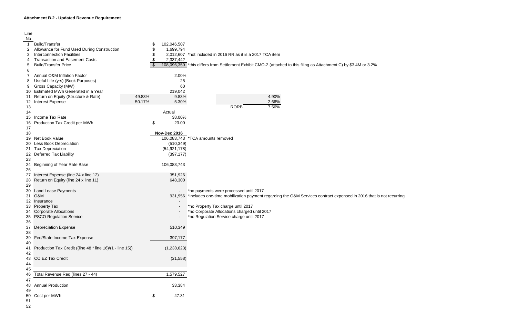## **Attachment B.2 - Updated Revenue Requirement**

| Line |                                                           |        |                     |                                                                                                                     |
|------|-----------------------------------------------------------|--------|---------------------|---------------------------------------------------------------------------------------------------------------------|
| No   |                                                           |        |                     |                                                                                                                     |
|      | <b>Build/Transfer</b>                                     |        | 102,046,507         |                                                                                                                     |
|      | Allowance for Fund Used During Construction<br>2          |        | 1,699,794           |                                                                                                                     |
| 3    | <b>Interconnection Facilities</b>                         |        | 2,012,607           | *not included in 2016 RR as it is a 2017 TCA item                                                                   |
| 4    | <b>Transaction and Easement Costs</b>                     |        | 2,337,442           |                                                                                                                     |
| 5    | <b>Build/Transfer Price</b>                               |        |                     | 108,096,350 *this differs from Settlement Exhibit CMO-2 (attached to this filing as Attachment C) by \$3.4M or 3.2% |
| 6    |                                                           |        |                     |                                                                                                                     |
|      | Annual O&M Inflation Factor                               |        | 2.00%               |                                                                                                                     |
| 8    | Useful Life (yrs) (Book Purposes)                         |        | 25                  |                                                                                                                     |
| 9    | Gross Capacity (MW)                                       |        | 60                  |                                                                                                                     |
| 10   | Estimated MWh Generated in a Year                         |        | 219,042             |                                                                                                                     |
| 11   | Return on Equity (Structure & Rate)                       | 49.83% | 9.83%               | 4.90%                                                                                                               |
| 12   | <b>Interest Expense</b>                                   | 50.17% | 5.30%               | 2.66%                                                                                                               |
| 13   |                                                           |        |                     | <b>RORB</b><br>7.56%                                                                                                |
| 14   |                                                           |        | Actual              |                                                                                                                     |
| 15   | Income Tax Rate                                           |        | 38.00%              |                                                                                                                     |
| 16   | Production Tax Credit per MWh                             |        | \$<br>23.00         |                                                                                                                     |
| 17   |                                                           |        |                     |                                                                                                                     |
| 18   |                                                           |        | <b>Nov-Dec 2016</b> |                                                                                                                     |
| 19   | Net Book Value                                            |        |                     | 106,083,743 *TCA amounts removed                                                                                    |
| 20   | <b>Less Book Depreciation</b>                             |        | (510, 349)          |                                                                                                                     |
| 21   | <b>Tax Depreciation</b>                                   |        | (54, 921, 178)      |                                                                                                                     |
| 22   | <b>Deferred Tax Liability</b>                             |        | (397, 177)          |                                                                                                                     |
| 23   |                                                           |        |                     |                                                                                                                     |
| 24   | Beginning of Year Rate Base                               |        | 106,083,743         |                                                                                                                     |
| 26   |                                                           |        |                     |                                                                                                                     |
| 27   | Interest Expense (line 24 x line 12)                      |        | 351,926             |                                                                                                                     |
| 28   | Return on Equity (line 24 x line 11)                      |        | 648,300             |                                                                                                                     |
| 29   |                                                           |        |                     |                                                                                                                     |
| 30   | Land Lease Payments                                       |        |                     | *no payments were processed until 2017                                                                              |
|      | <b>O&amp;M</b><br>31                                      |        | 931,956             | *includes one-time mobilization payment regarding the O&M Services contract expensed in 2016 that is not recurring  |
| 32   | Insurance                                                 |        |                     |                                                                                                                     |
|      | 33 Property Tax                                           |        |                     | *no Property Tax charge until 2017                                                                                  |
|      | 34 Corporate Allocations                                  |        |                     | *no Corporate Allocations charged until 2017                                                                        |
|      | 35 PSCO Regulation Service                                |        |                     | *no Regulation Service charge until 2017                                                                            |
| 36   |                                                           |        |                     |                                                                                                                     |
| 37   | <b>Depreciation Expense</b>                               |        | 510,349             |                                                                                                                     |
| 38   |                                                           |        |                     |                                                                                                                     |
| 39   | Fed/State Income Tax Expense                              |        | 397,177             |                                                                                                                     |
| 40   |                                                           |        |                     |                                                                                                                     |
| 41   | Production Tax Credit ((line 48 * line 16)/(1 - line 15)) |        | (1,238,623)         |                                                                                                                     |
| 42   |                                                           |        |                     |                                                                                                                     |
| 43   | CO EZ Tax Credit                                          |        | (21, 558)           |                                                                                                                     |
| 44   |                                                           |        |                     |                                                                                                                     |
| 45   |                                                           |        |                     |                                                                                                                     |
| 46   | Total Revenue Req (lines 27 - 44)                         |        | 1,579,527           |                                                                                                                     |
| 47   |                                                           |        |                     |                                                                                                                     |
| 48   | <b>Annual Production</b>                                  |        | 33,384              |                                                                                                                     |
| 49   |                                                           |        |                     |                                                                                                                     |
| 50   | Cost per MWh                                              |        | \$<br>47.31         |                                                                                                                     |
| 51   |                                                           |        |                     |                                                                                                                     |
| 52   |                                                           |        |                     |                                                                                                                     |
|      |                                                           |        |                     |                                                                                                                     |